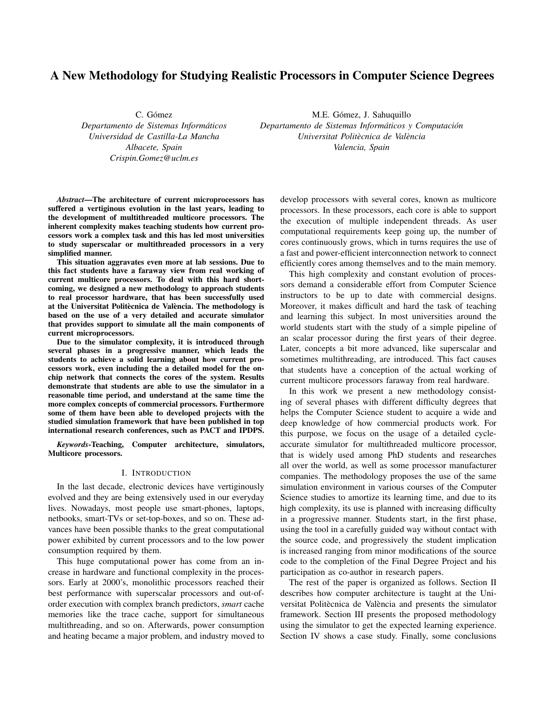# **A New Methodology for Studying Realistic Processors in Computer Science Degrees**

C. Gómez

*Departamento de Sistemas Informaticos ´ Universidad de Castilla-La Mancha Albacete, Spain Crispin.Gomez@uclm.es*

M.E. Gómez, J. Sahuquillo *Departamento de Sistemas Informaticos y Computaci ´ on´ Universitat Politecnica de Val ` encia ` Valencia, Spain*

*Abstract***—The architecture of current microprocessors has suffered a vertiginous evolution in the last years, leading to the development of multithreaded multicore processors. The inherent complexity makes teaching students how current processors work a complex task and this has led most universities to study superscalar or multithreaded processors in a very simplified manner.**

**This situation aggravates even more at lab sessions. Due to this fact students have a faraway view from real working of current multicore processors. To deal with this hard shortcoming, we designed a new methodology to approach students to real processor hardware, that has been successfully used** at the Universitat Politècnica de València. The methodology is **based on the use of a very detailed and accurate simulator that provides support to simulate all the main components of current microprocessors.**

**Due to the simulator complexity, it is introduced through several phases in a progressive manner, which leads the students to achieve a solid learning about how current processors work, even including the a detailed model for the onchip network that connects the cores of the system. Results demonstrate that students are able to use the simulator in a reasonable time period, and understand at the same time the more complex concepts of commercial processors. Furthermore some of them have been able to developed projects with the studied simulation framework that have been published in top international research conferences, such as PACT and IPDPS.**

*Keywords***-Teaching, Computer architecture, simulators, Multicore processors.**

#### I. INTRODUCTION

In the last decade, electronic devices have vertiginously evolved and they are being extensively used in our everyday lives. Nowadays, most people use smart-phones, laptops, netbooks, smart-TVs or set-top-boxes, and so on. These advances have been possible thanks to the great computational power exhibited by current processors and to the low power consumption required by them.

This huge computational power has come from an increase in hardware and functional complexity in the processors. Early at 2000's, monolithic processors reached their best performance with superscalar processors and out-oforder execution with complex branch predictors, *smart* cache memories like the trace cache, support for simultaneous multithreading, and so on. Afterwards, power consumption and heating became a major problem, and industry moved to develop processors with several cores, known as multicore processors. In these processors, each core is able to support the execution of multiple independent threads. As user computational requirements keep going up, the number of cores continuously grows, which in turns requires the use of a fast and power-efficient interconnection network to connect efficiently cores among themselves and to the main memory.

This high complexity and constant evolution of processors demand a considerable effort from Computer Science instructors to be up to date with commercial designs. Moreover, it makes difficult and hard the task of teaching and learning this subject. In most universities around the world students start with the study of a simple pipeline of an scalar processor during the first years of their degree. Later, concepts a bit more advanced, like superscalar and sometimes multithreading, are introduced. This fact causes that students have a conception of the actual working of current multicore processors faraway from real hardware.

In this work we present a new methodology consisting of several phases with different difficulty degrees that helps the Computer Science student to acquire a wide and deep knowledge of how commercial products work. For this purpose, we focus on the usage of a detailed cycleaccurate simulator for multithreaded multicore processor, that is widely used among PhD students and researches all over the world, as well as some processor manufacturer companies. The methodology proposes the use of the same simulation environment in various courses of the Computer Science studies to amortize its learning time, and due to its high complexity, its use is planned with increasing difficulty in a progressive manner. Students start, in the first phase, using the tool in a carefully guided way without contact with the source code, and progressively the student implication is increased ranging from minor modifications of the source code to the completion of the Final Degree Project and his participation as co-author in research papers.

The rest of the paper is organized as follows. Section II describes how computer architecture is taught at the Universitat Politècnica de València and presents the simulator framework. Section III presents the proposed methodology using the simulator to get the expected learning experience. Section IV shows a case study. Finally, some conclusions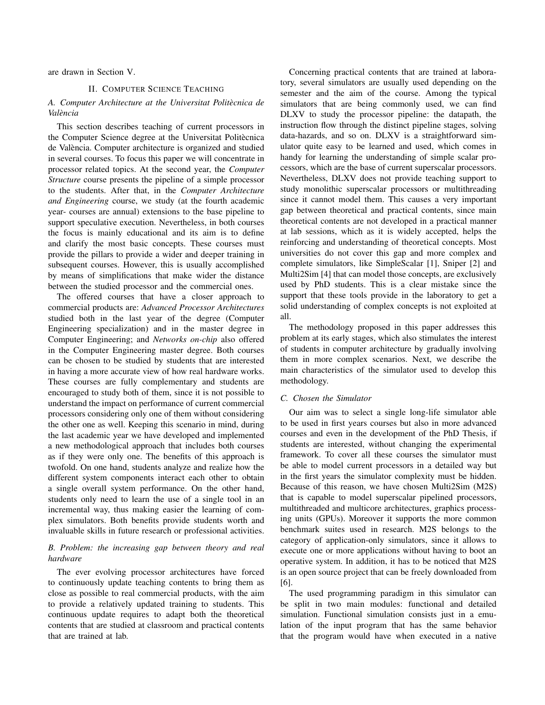are drawn in Section V.

### II. COMPUTER SCIENCE TEACHING

## *A. Computer Architecture at the Universitat Politecnica de ` Valencia `*

This section describes teaching of current processors in the Computer Science degree at the Universitat Politècnica de València. Computer architecture is organized and studied in several courses. To focus this paper we will concentrate in processor related topics. At the second year, the *Computer Structure* course presents the pipeline of a simple processor to the students. After that, in the *Computer Architecture and Engineering* course, we study (at the fourth academic year- courses are annual) extensions to the base pipeline to support speculative execution. Nevertheless, in both courses the focus is mainly educational and its aim is to define and clarify the most basic concepts. These courses must provide the pillars to provide a wider and deeper training in subsequent courses. However, this is usually accomplished by means of simplifications that make wider the distance between the studied processor and the commercial ones.

The offered courses that have a closer approach to commercial products are: *Advanced Processor Architectures* studied both in the last year of the degree (Computer Engineering specialization) and in the master degree in Computer Engineering; and *Networks on-chip* also offered in the Computer Engineering master degree. Both courses can be chosen to be studied by students that are interested in having a more accurate view of how real hardware works. These courses are fully complementary and students are encouraged to study both of them, since it is not possible to understand the impact on performance of current commercial processors considering only one of them without considering the other one as well. Keeping this scenario in mind, during the last academic year we have developed and implemented a new methodological approach that includes both courses as if they were only one. The benefits of this approach is twofold. On one hand, students analyze and realize how the different system components interact each other to obtain a single overall system performance. On the other hand, students only need to learn the use of a single tool in an incremental way, thus making easier the learning of complex simulators. Both benefits provide students worth and invaluable skills in future research or professional activities.

## *B. Problem: the increasing gap between theory and real hardware*

The ever evolving processor architectures have forced to continuously update teaching contents to bring them as close as possible to real commercial products, with the aim to provide a relatively updated training to students. This continuous update requires to adapt both the theoretical contents that are studied at classroom and practical contents that are trained at lab.

Concerning practical contents that are trained at laboratory, several simulators are usually used depending on the semester and the aim of the course. Among the typical simulators that are being commonly used, we can find DLXV to study the processor pipeline: the datapath, the instruction flow through the distinct pipeline stages, solving data-hazards, and so on. DLXV is a straightforward simulator quite easy to be learned and used, which comes in handy for learning the understanding of simple scalar processors, which are the base of current superscalar processors. Nevertheless, DLXV does not provide teaching support to study monolithic superscalar processors or multithreading since it cannot model them. This causes a very important gap between theoretical and practical contents, since main theoretical contents are not developed in a practical manner at lab sessions, which as it is widely accepted, helps the reinforcing and understanding of theoretical concepts. Most universities do not cover this gap and more complex and complete simulators, like SimpleScalar [1], Sniper [2] and Multi2Sim [4] that can model those concepts, are exclusively used by PhD students. This is a clear mistake since the support that these tools provide in the laboratory to get a solid understanding of complex concepts is not exploited at all.

The methodology proposed in this paper addresses this problem at its early stages, which also stimulates the interest of students in computer architecture by gradually involving them in more complex scenarios. Next, we describe the main characteristics of the simulator used to develop this methodology.

#### *C. Chosen the Simulator*

Our aim was to select a single long-life simulator able to be used in first years courses but also in more advanced courses and even in the development of the PhD Thesis, if students are interested, without changing the experimental framework. To cover all these courses the simulator must be able to model current processors in a detailed way but in the first years the simulator complexity must be hidden. Because of this reason, we have chosen Multi2Sim (M2S) that is capable to model superscalar pipelined processors, multithreaded and multicore architectures, graphics processing units (GPUs). Moreover it supports the more common benchmark suites used in research. M2S belongs to the category of application-only simulators, since it allows to execute one or more applications without having to boot an operative system. In addition, it has to be noticed that M2S is an open source project that can be freely downloaded from [6].

The used programming paradigm in this simulator can be split in two main modules: functional and detailed simulation. Functional simulation consists just in a emulation of the input program that has the same behavior that the program would have when executed in a native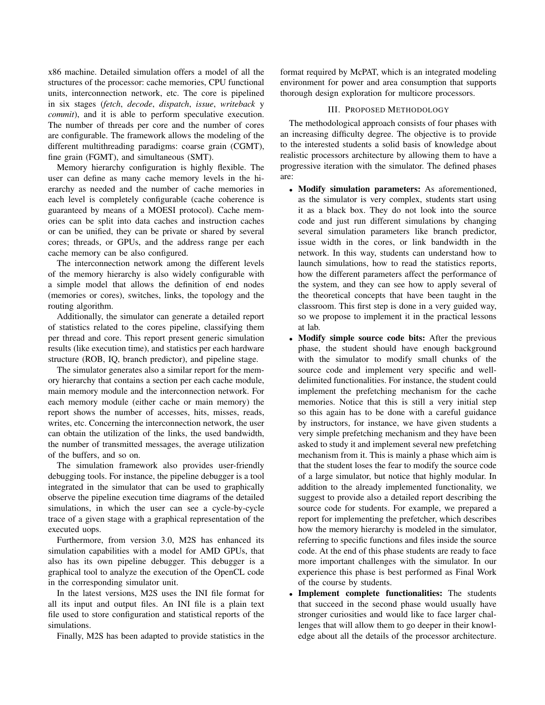x86 machine. Detailed simulation offers a model of all the structures of the processor: cache memories, CPU functional units, interconnection network, etc. The core is pipelined in six stages (*fetch*, *decode*, *dispatch*, *issue*, *writeback* y *commit*), and it is able to perform speculative execution. The number of threads per core and the number of cores are configurable. The framework allows the modeling of the different multithreading paradigms: coarse grain (CGMT), fine grain (FGMT), and simultaneous (SMT).

Memory hierarchy configuration is highly flexible. The user can define as many cache memory levels in the hierarchy as needed and the number of cache memories in each level is completely configurable (cache coherence is guaranteed by means of a MOESI protocol). Cache memories can be split into data caches and instruction caches or can be unified, they can be private or shared by several cores; threads, or GPUs, and the address range per each cache memory can be also configured.

The interconnection network among the different levels of the memory hierarchy is also widely configurable with a simple model that allows the definition of end nodes (memories or cores), switches, links, the topology and the routing algorithm.

Additionally, the simulator can generate a detailed report of statistics related to the cores pipeline, classifying them per thread and core. This report present generic simulation results (like execution time), and statistics per each hardware structure (ROB, IQ, branch predictor), and pipeline stage.

The simulator generates also a similar report for the memory hierarchy that contains a section per each cache module, main memory module and the interconnection network. For each memory module (either cache or main memory) the report shows the number of accesses, hits, misses, reads, writes, etc. Concerning the interconnection network, the user can obtain the utilization of the links, the used bandwidth, the number of transmitted messages, the average utilization of the buffers, and so on.

The simulation framework also provides user-friendly debugging tools. For instance, the pipeline debugger is a tool integrated in the simulator that can be used to graphically observe the pipeline execution time diagrams of the detailed simulations, in which the user can see a cycle-by-cycle trace of a given stage with a graphical representation of the executed uops.

Furthermore, from version 3.0, M2S has enhanced its simulation capabilities with a model for AMD GPUs, that also has its own pipeline debugger. This debugger is a graphical tool to analyze the execution of the OpenCL code in the corresponding simulator unit.

In the latest versions, M2S uses the INI file format for all its input and output files. An INI file is a plain text file used to store configuration and statistical reports of the simulations.

Finally, M2S has been adapted to provide statistics in the

format required by McPAT, which is an integrated modeling environment for power and area consumption that supports thorough design exploration for multicore processors.

## III. PROPOSED METHODOLOGY

The methodological approach consists of four phases with an increasing difficulty degree. The objective is to provide to the interested students a solid basis of knowledge about realistic processors architecture by allowing them to have a progressive iteration with the simulator. The defined phases are:

- <sup>∙</sup> **Modify simulation parameters:** As aforementioned, as the simulator is very complex, students start using it as a black box. They do not look into the source code and just run different simulations by changing several simulation parameters like branch predictor, issue width in the cores, or link bandwidth in the network. In this way, students can understand how to launch simulations, how to read the statistics reports, how the different parameters affect the performance of the system, and they can see how to apply several of the theoretical concepts that have been taught in the classroom. This first step is done in a very guided way, so we propose to implement it in the practical lessons at lab.
- <sup>∙</sup> **Modify simple source code bits:** After the previous phase, the student should have enough background with the simulator to modify small chunks of the source code and implement very specific and welldelimited functionalities. For instance, the student could implement the prefetching mechanism for the cache memories. Notice that this is still a very initial step so this again has to be done with a careful guidance by instructors, for instance, we have given students a very simple prefetching mechanism and they have been asked to study it and implement several new prefetching mechanism from it. This is mainly a phase which aim is that the student loses the fear to modify the source code of a large simulator, but notice that highly modular. In addition to the already implemented functionality, we suggest to provide also a detailed report describing the source code for students. For example, we prepared a report for implementing the prefetcher, which describes how the memory hierarchy is modeled in the simulator, referring to specific functions and files inside the source code. At the end of this phase students are ready to face more important challenges with the simulator. In our experience this phase is best performed as Final Work of the course by students.
- <sup>∙</sup> **Implement complete functionalities:** The students that succeed in the second phase would usually have stronger curiosities and would like to face larger challenges that will allow them to go deeper in their knowledge about all the details of the processor architecture.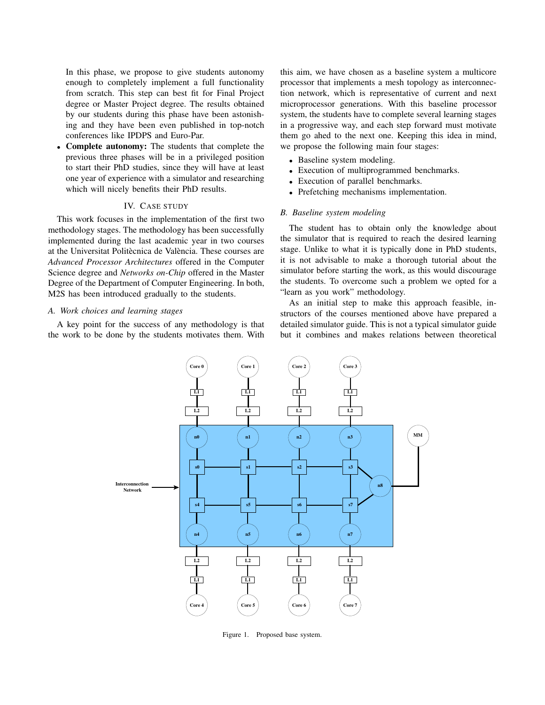In this phase, we propose to give students autonomy enough to completely implement a full functionality from scratch. This step can best fit for Final Project degree or Master Project degree. The results obtained by our students during this phase have been astonishing and they have been even published in top-notch conferences like IPDPS and Euro-Par.

<sup>∙</sup> **Complete autonomy:** The students that complete the previous three phases will be in a privileged position to start their PhD studies, since they will have at least one year of experience with a simulator and researching which will nicely benefits their PhD results.

## IV. CASE STUDY

This work focuses in the implementation of the first two methodology stages. The methodology has been successfully implemented during the last academic year in two courses at the Universitat Politècnica de València. These courses are *Advanced Processor Architectures* offered in the Computer Science degree and *Networks on-Chip* offered in the Master Degree of the Department of Computer Engineering. In both, M2S has been introduced gradually to the students.

#### *A. Work choices and learning stages*

A key point for the success of any methodology is that the work to be done by the students motivates them. With this aim, we have chosen as a baseline system a multicore processor that implements a mesh topology as interconnection network, which is representative of current and next microprocessor generations. With this baseline processor system, the students have to complete several learning stages in a progressive way, and each step forward must motivate them go ahed to the next one. Keeping this idea in mind, we propose the following main four stages:

- <sup>∙</sup> Baseline system modeling.
- <sup>∙</sup> Execution of multiprogrammed benchmarks.
- <sup>∙</sup> Execution of parallel benchmarks.
- <sup>∙</sup> Prefetching mechanisms implementation.

#### *B. Baseline system modeling*

The student has to obtain only the knowledge about the simulator that is required to reach the desired learning stage. Unlike to what it is typically done in PhD students, it is not advisable to make a thorough tutorial about the simulator before starting the work, as this would discourage the students. To overcome such a problem we opted for a "learn as you work" methodology.

As an initial step to make this approach feasible, instructors of the courses mentioned above have prepared a detailed simulator guide. This is not a typical simulator guide but it combines and makes relations between theoretical



Figure 1. Proposed base system.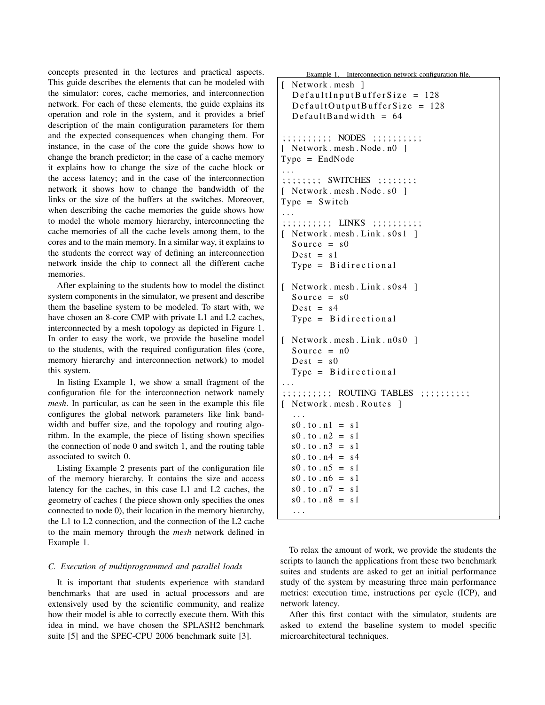concepts presented in the lectures and practical aspects. This guide describes the elements that can be modeled with the simulator: cores, cache memories, and interconnection network. For each of these elements, the guide explains its operation and role in the system, and it provides a brief description of the main configuration parameters for them and the expected consequences when changing them. For instance, in the case of the core the guide shows how to change the branch predictor; in the case of a cache memory it explains how to change the size of the cache block or the access latency; and in the case of the interconnection network it shows how to change the bandwidth of the links or the size of the buffers at the switches. Moreover, when describing the cache memories the guide shows how to model the whole memory hierarchy, interconnecting the cache memories of all the cache levels among them, to the cores and to the main memory. In a similar way, it explains to the students the correct way of defining an interconnection network inside the chip to connect all the different cache memories.

After explaining to the students how to model the distinct system components in the simulator, we present and describe them the baseline system to be modeled. To start with, we have chosen an 8-core CMP with private L1 and L2 caches, interconnected by a mesh topology as depicted in Figure 1. In order to easy the work, we provide the baseline model to the students, with the required configuration files (core, memory hierarchy and interconnection network) to model this system.

In listing Example 1, we show a small fragment of the configuration file for the interconnection network namely *mesh*. In particular, as can be seen in the example this file configures the global network parameters like link bandwidth and buffer size, and the topology and routing algorithm. In the example, the piece of listing shown specifies the connection of node 0 and switch 1, and the routing table associated to switch 0.

Listing Example 2 presents part of the configuration file of the memory hierarchy. It contains the size and access latency for the caches, in this case L1 and L2 caches, the geometry of caches ( the piece shown only specifies the ones connected to node 0), their location in the memory hierarchy, the L1 to L2 connection, and the connection of the L2 cache to the main memory through the *mesh* network defined in Example 1.

### *C. Execution of multiprogrammed and parallel loads*

It is important that students experience with standard benchmarks that are used in actual processors and are extensively used by the scientific community, and realize how their model is able to correctly execute them. With this idea in mind, we have chosen the SPLASH2 benchmark suite [5] and the SPEC-CPU 2006 benchmark suite [3].

Example 1. Interconnection network configuration file.

```
Network . mesh ]
  DefaultInputBufferSize = 128DefaultOutputBufferSize = 128DefaultBandwidth = 64
;;;;;;;;;; NODES ; ; ; ;;;;;;;
[ Network . mesh . Node . n0 ]
Type = EndNode
...
; ; ; ; ; ; ;; SWITCHES ;;;;;;;;
[ Network . mesh . Node . s0 ]
Type = Switch
...
; ; ; ; ; ; ; ; ; ; LINKS ; ; ; ; ; ; ; ; ;[ Network . mesh . Link . s0s1 ]
  Source = s0Dest = s1Type = Bidirectional
[ Network . mesh . Link . s0s4 ]
  Source = s0Dest = s4Type = Bidirectional
[ Network . mesh . Link . n0s0 ]
  Source = n0Dest = s0Type = Bidirectional
...
; ; ; ; ; ; ; ; ; ; ROUTING TABLES ; ; ;;;;;;;;
[ Network . mesh . Routes ]
  ...
  s0 \tcdot to \tcdot n1 = s1s0 \tcdot to \tcdot n2 = s1s0 \tcdot to \tcdot n3 = s1s0 \tcdot to \tcdot n4 = s4s0. to \ln 5 = s1s0 . to . n6 = s1s0 \tcdot to \tcdot n7 = s1s0 \tcdot to \tcdot n8 = s1...
```
To relax the amount of work, we provide the students the scripts to launch the applications from these two benchmark suites and students are asked to get an initial performance study of the system by measuring three main performance metrics: execution time, instructions per cycle (ICP), and network latency.

After this first contact with the simulator, students are asked to extend the baseline system to model specific microarchitectural techniques.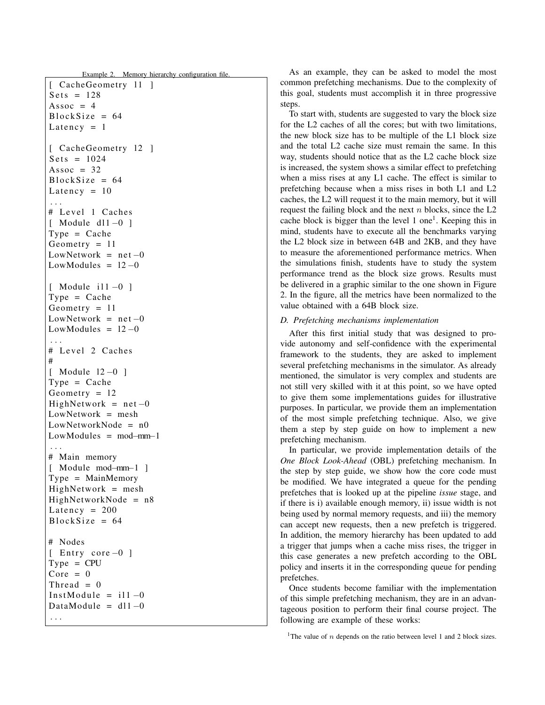Example 2. Memory hierarchy configuration file.

[ CacheGeometry 11 ]  $Sets = 128$ Assoc  $= 4$  $BlockSize = 64$ Latency  $= 1$ [ CacheGeometry 12 ]  $Sets = 1024$ Assoc =  $32$  $BlockSize = 64$ Latency  $= 10$ ... # Level 1 Caches  $\lceil$  Module dl1 –0 ] Type = Cache Geometry = l1 LowNetwork =  $net -0$ LowModules =  $12-0$ [ Module il1 −0 ] Type = Cache Geometry  $= 11$ LowNetwork =  $net -0$ LowModules =  $12-0$ # Level 2 Caches # [ Module l2 −0 ]  $Type = Cache$ Geometry  $= 12$ HighNetwork =  $net-0$  $LowNetwork = mesh$ LowNetworkNode = n0 LowModules =  $mod-mm-1$ ... # Main memory [ Module mod−mm−1 ] Type = MainMemory HighNetwork = mesh HighNetworkNode = n8 Latency  $= 200$  $BlockSize = 64$ # Nodes [ Entry core −0 ] Type = CPU  $Core = 0$ Thread  $= 0$ InstModule =  $i11 - 0$ DataModule =  $d11-0$ ...

As an example, they can be asked to model the most common prefetching mechanisms. Due to the complexity of this goal, students must accomplish it in three progressive steps.

To start with, students are suggested to vary the block size for the L2 caches of all the cores; but with two limitations, the new block size has to be multiple of the L1 block size and the total L2 cache size must remain the same. In this way, students should notice that as the L2 cache block size is increased, the system shows a similar effect to prefetching when a miss rises at any L1 cache. The effect is similar to prefetching because when a miss rises in both L1 and L2 caches, the L2 will request it to the main memory, but it will request the failing block and the next  $n$  blocks, since the  $L2$ cache block is bigger than the level 1 one<sup>1</sup>. Keeping this in mind, students have to execute all the benchmarks varying the L2 block size in between 64B and 2KB, and they have to measure the aforementioned performance metrics. When the simulations finish, students have to study the system performance trend as the block size grows. Results must be delivered in a graphic similar to the one shown in Figure 2. In the figure, all the metrics have been normalized to the value obtained with a 64B block size.

## *D. Prefetching mechanisms implementation*

After this first initial study that was designed to provide autonomy and self-confidence with the experimental framework to the students, they are asked to implement several prefetching mechanisms in the simulator. As already mentioned, the simulator is very complex and students are not still very skilled with it at this point, so we have opted to give them some implementations guides for illustrative purposes. In particular, we provide them an implementation of the most simple prefetching technique. Also, we give them a step by step guide on how to implement a new prefetching mechanism.

In particular, we provide implementation details of the *One Block Look-Ahead* (OBL) prefetching mechanism. In the step by step guide, we show how the core code must be modified. We have integrated a queue for the pending prefetches that is looked up at the pipeline *issue* stage, and if there is i) available enough memory, ii) issue width is not being used by normal memory requests, and iii) the memory can accept new requests, then a new prefetch is triggered. In addition, the memory hierarchy has been updated to add a trigger that jumps when a cache miss rises, the trigger in this case generates a new prefetch according to the OBL policy and inserts it in the corresponding queue for pending prefetches.

Once students become familiar with the implementation of this simple prefetching mechanism, they are in an advantageous position to perform their final course project. The following are example of these works:

<sup>1</sup>The value of  $n$  depends on the ratio between level 1 and 2 block sizes.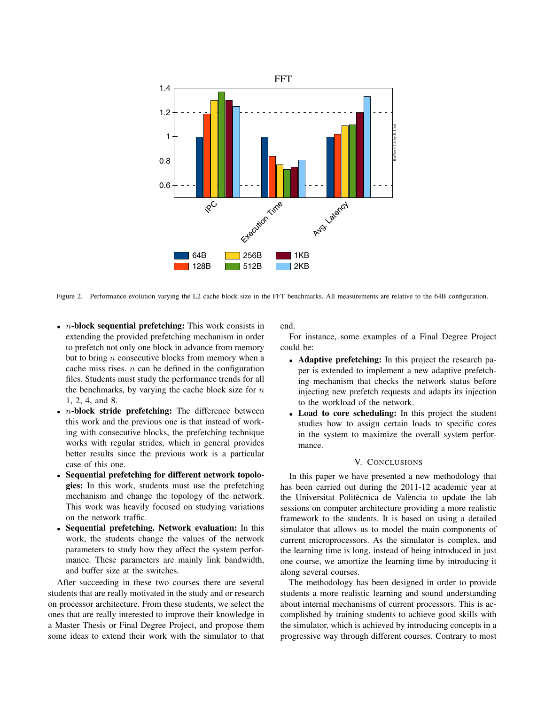

Figure 2. Performance evolution varying the L2 cache block size in the FFT benchmarks. All measurements are relative to the 64B configuration.

- <sup>∙</sup> **-block sequential prefetching:** This work consists in extending the provided prefetching mechanism in order to prefetch not only one block in advance from memory but to bring  $n$  consecutive blocks from memory when a cache miss rises.  $n$  can be defined in the configuration files. Students must study the performance trends for all the benchmarks, by varying the cache block size for  $n$ 1, 2, 4, and 8.
- <sup>∙</sup> **-block stride prefetching:** The difference between this work and the previous one is that instead of working with consecutive blocks, the prefetching technique works with regular strides, which in general provides better results since the previous work is a particular case of this one.
- <sup>∙</sup> **Sequential prefetching for different network topologies:** In this work, students must use the prefetching mechanism and change the topology of the network. This work was heavily focused on studying variations on the network traffic.
- <sup>∙</sup> **Sequential prefetching. Network evaluation:** In this work, the students change the values of the network parameters to study how they affect the system performance. These parameters are mainly link bandwidth, and buffer size at the switches.

After succeeding in these two courses there are several students that are really motivated in the study and or research on processor architecture. From these students, we select the ones that are really interested to improve their knowledge in a Master Thesis or Final Degree Project, and propose them some ideas to extend their work with the simulator to that end.

For instance, some examples of a Final Degree Project could be:

- <sup>∙</sup> **Adaptive prefetching:** In this project the research paper is extended to implement a new adaptive prefetching mechanism that checks the network status before injecting new prefetch requests and adapts its injection to the workload of the network.
- <sup>∙</sup> **Load to core scheduling:** In this project the student studies how to assign certain loads to specific cores in the system to maximize the overall system performance.

#### V. CONCLUSIONS

In this paper we have presented a new methodology that has been carried out during the 2011-12 academic year at the Universitat Politècnica de València to update the lab sessions on computer architecture providing a more realistic framework to the students. It is based on using a detailed simulator that allows us to model the main components of current microprocessors. As the simulator is complex, and the learning time is long, instead of being introduced in just one course, we amortize the learning time by introducing it along several courses.

The methodology has been designed in order to provide students a more realistic learning and sound understanding about internal mechanisms of current processors. This is accomplished by training students to achieve good skills with the simulator, which is achieved by introducing concepts in a progressive way through different courses. Contrary to most